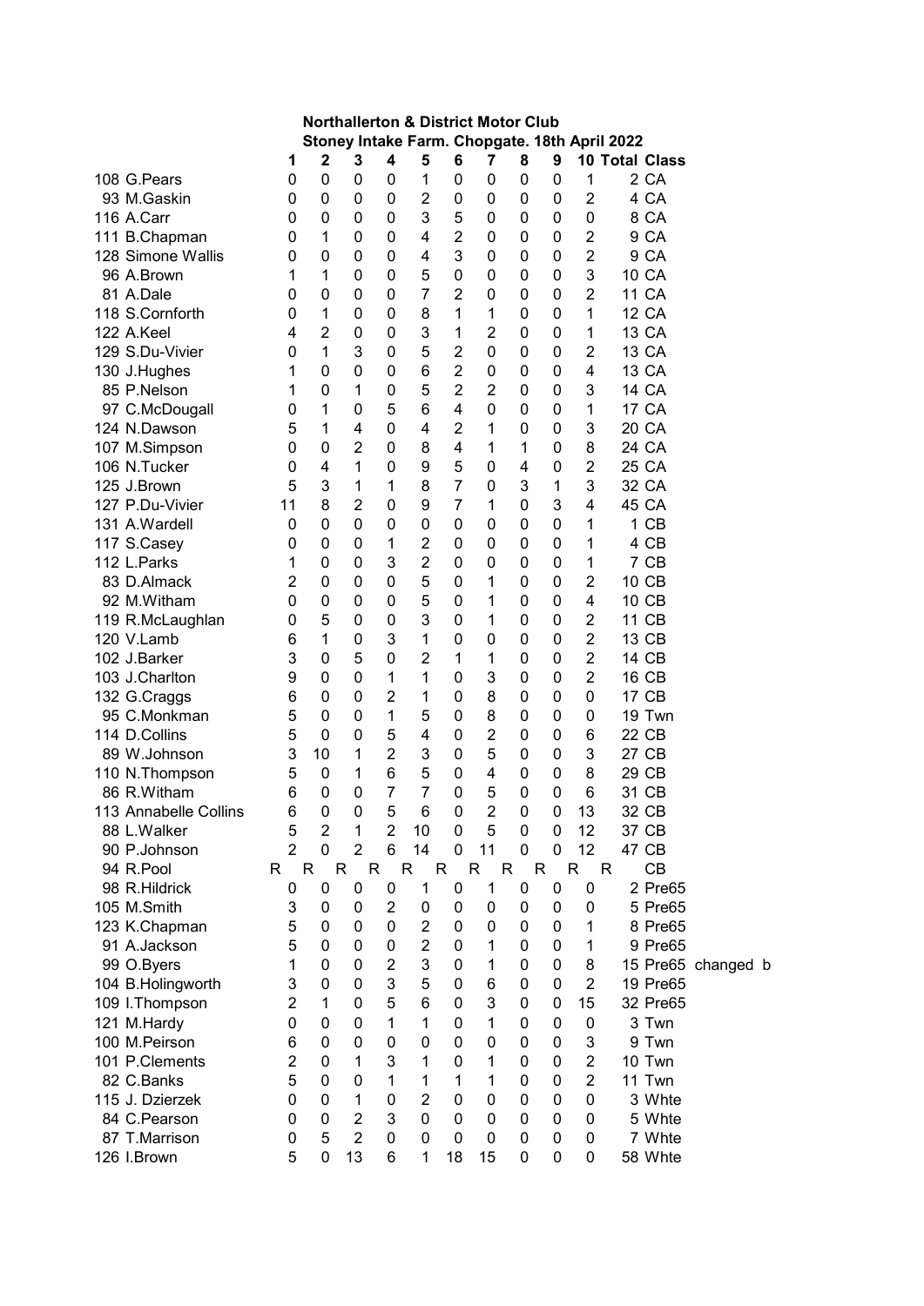| <b>Northallerton &amp; District Motor Club</b><br>Stoney Intake Farm. Chopgate. 18th April 2022 |                |                   |                     |                     |                                  |                     |                     |             |                  |                                  |   |                       |                    |  |
|-------------------------------------------------------------------------------------------------|----------------|-------------------|---------------------|---------------------|----------------------------------|---------------------|---------------------|-------------|------------------|----------------------------------|---|-----------------------|--------------------|--|
|                                                                                                 |                |                   |                     |                     |                                  |                     |                     |             |                  |                                  |   |                       |                    |  |
|                                                                                                 | 1              | 2                 | 3                   | 4                   | 5                                | 6                   | 7                   | 8           | 9                |                                  |   | <b>10 Total Class</b> |                    |  |
| 108 G.Pears                                                                                     | 0              | 0                 | $\pmb{0}$           | 0                   | 1                                | 0                   | 0                   | 0           | $\mathbf 0$      | 1                                |   | 2 CA                  |                    |  |
| 93 M.Gaskin                                                                                     | 0              | 0                 | 0                   | 0                   | $\overline{2}$                   | 0                   | 0                   | 0           | 0                | $\overline{2}$                   |   | 4 CA                  |                    |  |
| 116 A.Carr                                                                                      | 0              | 0                 | 0                   | 0                   | 3<br>4                           | 5<br>$\overline{2}$ | 0                   | 0           | 0                | 0                                |   | 8 CA                  |                    |  |
| 111 B.Chapman                                                                                   | 0              | 1                 | 0                   | 0                   |                                  | 3                   | 0                   | $\mathbf 0$ | $\mathbf 0$      | $\overline{2}$                   |   | 9 CA                  |                    |  |
| 128 Simone Wallis<br>96 A.Brown                                                                 | 0              | 0                 | 0                   | $\mathbf 0$         | 4<br>5                           |                     | 0                   | $\mathbf 0$ | $\mathbf 0$      | $\overline{2}$<br>3              |   | 9 CA<br>10 CA         |                    |  |
| 81 A.Dale                                                                                       | 1<br>0         | 1<br>0            | 0<br>0              | 0<br>0              | $\overline{7}$                   | 0<br>$\overline{2}$ | 0<br>0              | 0<br>0      | 0<br>$\mathbf 0$ | $\overline{2}$                   |   | <b>11 CA</b>          |                    |  |
| 118 S.Cornforth                                                                                 | 0              | 1                 | 0                   | 0                   | 8                                | 1                   | 1                   | 0           | 0                | 1                                |   | <b>12 CA</b>          |                    |  |
| 122 A.Keel                                                                                      | 4              | $\overline{2}$    | 0                   | 0                   | 3                                | 1                   | $\overline{2}$      | 0           | 0                |                                  |   | 13 CA                 |                    |  |
| 129 S.Du-Vivier                                                                                 | 0              | 1                 | 3                   | 0                   | 5                                | $\overline{2}$      | 0                   | 0           | 0                | 1<br>$\overline{2}$              |   | 13 CA                 |                    |  |
| 130 J.Hughes                                                                                    | 1              | 0                 | 0                   | $\mathbf 0$         | 6                                | $\overline{2}$      | 0                   | 0           | 0                | 4                                |   | 13 CA                 |                    |  |
| 85 P.Nelson                                                                                     | 1              | 0                 | 1                   | 0                   | 5                                | $\overline{2}$      | $\overline{2}$      | 0           | 0                | 3                                |   | 14 CA                 |                    |  |
| 97 C.McDougall                                                                                  | 0              | 1                 | 0                   | 5                   | 6                                | 4                   | 0                   | 0           | 0                | 1                                |   | <b>17 CA</b>          |                    |  |
| 124 N.Dawson                                                                                    | 5              | 1                 | 4                   | $\mathbf 0$         | 4                                | $\overline{2}$      | 1                   | 0           | 0                | 3                                |   | 20 CA                 |                    |  |
|                                                                                                 | 0              | 0                 | $\overline{2}$      | 0                   | 8                                | 4                   | 1                   | 1           | 0                | 8                                |   | 24 CA                 |                    |  |
| 107 M.Simpson<br>106 N.Tucker                                                                   |                | 4                 | 1                   | $\mathbf 0$         | 9                                | 5                   |                     |             | 0                | $\overline{2}$                   |   | 25 CA                 |                    |  |
|                                                                                                 | 0              | 3                 |                     |                     | 8                                | $\overline{7}$      | 0                   | 4<br>3      |                  | 3                                |   | 32 CA                 |                    |  |
| 125 J.Brown<br>127 P.Du-Vivier                                                                  | 5              | 8                 | 1<br>$\overline{2}$ | 1<br>0              | 9                                | $\overline{7}$      | 0<br>$\mathbf 1$    | 0           | 1<br>3           | 4                                |   | 45 CA                 |                    |  |
| 131 A.Wardell                                                                                   | 11             |                   | 0                   | 0                   | 0                                | 0                   | 0                   |             | $\mathbf 0$      |                                  |   | 1 CB                  |                    |  |
|                                                                                                 | 0              | 0                 |                     |                     |                                  |                     |                     | 0           |                  | 1                                |   | 4 CB                  |                    |  |
| 117 S.Casey                                                                                     | 0              | 0<br>$\mathbf{0}$ | 0<br>0              | 1<br>3              | $\overline{c}$<br>$\overline{2}$ | 0                   | 0<br>0              | $\mathbf 0$ | 0<br>$\mathbf 0$ | 1                                |   | 7 CB                  |                    |  |
| 112 L.Parks<br>83 D.Almack                                                                      | 1              | 0                 |                     | 0                   | 5                                | 0                   |                     | 0           |                  | 1<br>$\overline{c}$              |   | 10 CB                 |                    |  |
|                                                                                                 | 2              | 0                 | 0                   |                     | 5                                | 0                   | 1                   | 0           | 0                | 4                                |   |                       |                    |  |
| 92 M.Witham                                                                                     | 0              | 5                 | 0                   | 0<br>$\mathbf 0$    | 3                                | 0                   | 1                   | 0           | 0                |                                  |   | 10 CB                 |                    |  |
| 119 R.McLaughlan                                                                                | 0              | 1                 | 0                   | 3                   |                                  | 0                   | 1                   | 0           | 0                | $\overline{2}$<br>$\overline{2}$ |   | 11 CB<br>13 CB        |                    |  |
| 120 V.Lamb                                                                                      | 6              |                   | 0<br>5              |                     | 1<br>$\overline{2}$              | 0                   | 0                   | 0           | 0                |                                  |   |                       |                    |  |
| 102 J.Barker<br>103 J.Charlton                                                                  | 3              | 0                 |                     | 0                   | 1                                | 1<br>0              | 1<br>3              | 0           | 0                | $\overline{2}$<br>$\overline{2}$ |   | 14 CB<br>16 CB        |                    |  |
|                                                                                                 | 9              | 0                 | 0                   | 1<br>$\overline{2}$ |                                  |                     |                     | 0           | 0                |                                  |   | 17 CB                 |                    |  |
| 132 G.Craggs<br>95 C.Monkman                                                                    | 6              | 0<br>$\mathbf{0}$ | 0                   |                     | 1                                | 0                   | 8                   | 0           | 0                | 0                                |   |                       |                    |  |
| 114 D.Collins                                                                                   | 5<br>5         | $\mathbf{0}$      | 0<br>0              | 1<br>5              | 5<br>4                           | 0<br>0              | 8<br>$\overline{2}$ | 0<br>0      | 0<br>0           | 0<br>6                           |   | 19 Twn<br>22 CB       |                    |  |
| 89 W.Johnson                                                                                    | 3              | 10                | 1                   | $\overline{2}$      | 3                                | $\mathbf 0$         | 5                   | 0           | 0                | 3                                |   | 27 CB                 |                    |  |
| 110 N.Thompson                                                                                  | 5              | 0                 | 1                   | 6                   | 5                                | 0                   | 4                   | 0           | 0                | 8                                |   | 29 CB                 |                    |  |
| 86 R.Witham                                                                                     | 6              | $\mathbf 0$       | $\mathbf 0$         | 7                   | 7                                | 0                   | 5                   | 0           | 0                | 6                                |   | 31 CB                 |                    |  |
| 113 Annabelle Collins                                                                           | 6              | 0                 | 0                   | 5                   | 6                                | 0                   | $\overline{2}$      | 0           | 0                | 13                               |   | 32 CB                 |                    |  |
| 88 L.Walker                                                                                     | 5              | $\overline{2}$    | 1                   | $\overline{2}$      | 10                               | 0                   | 5                   | $\mathbf 0$ | $\mathbf 0$      | 12                               |   | 37 CB                 |                    |  |
| 90 P.Johnson                                                                                    | $\overline{2}$ | 0                 | $\overline{2}$      | 6                   | 14                               | 0                   | 11                  | $\mathbf 0$ | $\mathbf 0$      | 12                               |   | 47 CB                 |                    |  |
| 94 R.Pool                                                                                       | R              | R                 | R                   | R                   | $\mathsf{R}$                     | $\mathsf{R}$        | $\mathsf{R}$        | R           | R                | $\mathsf{R}$                     | R | CB                    |                    |  |
| 98 R.Hildrick                                                                                   | $\mathbf 0$    | 0                 | 0                   | 0                   | 1                                | 0                   | 1                   | 0           | $\mathbf 0$      | 0                                |   | 2 Pre65               |                    |  |
| 105 M.Smith                                                                                     | 3              | 0                 | 0                   | $\overline{2}$      | 0                                | 0                   | 0                   | 0           | 0                | 0                                |   | 5 Pre65               |                    |  |
| 123 K.Chapman                                                                                   | 5              | 0                 | 0                   | $\mathbf 0$         | 2                                | 0                   | 0                   | 0           | 0                | 1                                |   | 8 Pre65               |                    |  |
| 91 A.Jackson                                                                                    | 5              | 0                 | 0                   | $\mathbf 0$         | $\overline{2}$                   | 0                   | 1                   | 0           | 0                | 1                                |   | 9 Pre65               |                    |  |
| 99 O.Byers                                                                                      | 1              | 0                 | 0                   | $\overline{2}$      | 3                                | 0                   | 1                   | 0           | 0                | 8                                |   |                       | 15 Pre65 changed b |  |
| 104 B.Holingworth                                                                               | 3              | 0                 | 0                   | 3                   | 5                                | 0                   | 6                   | 0           | 0                | $\overline{2}$                   |   | 19 Pre65              |                    |  |
| 109 I.Thompson                                                                                  | $\overline{2}$ | 1                 | 0                   | 5                   | 6                                | 0                   | 3                   | 0           | 0                | 15                               |   | 32 Pre65              |                    |  |
| 121 M.Hardy                                                                                     | 0              | 0                 | 0                   | 1                   | 1                                | 0                   | 1                   | 0           | 0                | 0                                |   | 3 Twn                 |                    |  |
| 100 M.Peirson                                                                                   | 6              | $\mathbf{0}$      | 0                   | $\mathbf 0$         | 0                                | 0                   | 0                   | 0           | 0                | 3                                |   | 9 Twn                 |                    |  |
| 101 P.Clements                                                                                  | $\overline{c}$ | $\mathbf{0}$      | 1                   | 3                   | 1                                | 0                   | 1                   | 0           | 0                | $\overline{2}$                   |   | 10 Twn                |                    |  |
| 82 C.Banks                                                                                      | 5              | 0                 | 0                   | 1                   | 1                                | 1                   | 1                   | 0           | 0                | $\overline{2}$                   |   | 11 Twn                |                    |  |
| 115 J. Dzierzek                                                                                 | $\mathbf 0$    | $\mathbf{0}$      | 1                   | $\mathbf 0$         | $\overline{2}$                   | 0                   | 0                   | 0           | 0                | 0                                |   | 3 Whte                |                    |  |
| 84 C.Pearson                                                                                    | 0              | 0                 | $\overline{2}$      | 3                   | $\mathbf 0$                      | 0                   | $\mathbf 0$         | 0           | $\mathbf 0$      | 0                                |   | 5 Whte                |                    |  |
| 87 T.Marrison                                                                                   | 0              | 5                 | $\overline{2}$      | 0                   | 0                                | 0                   | 0                   | 0           | 0                | 0                                |   | 7 Whte                |                    |  |
| 126 I.Brown                                                                                     | 5              | 0                 | 13                  | 6                   | 1                                | 18                  | 15                  | 0           | 0                | 0                                |   | 58 Whte               |                    |  |
|                                                                                                 |                |                   |                     |                     |                                  |                     |                     |             |                  |                                  |   |                       |                    |  |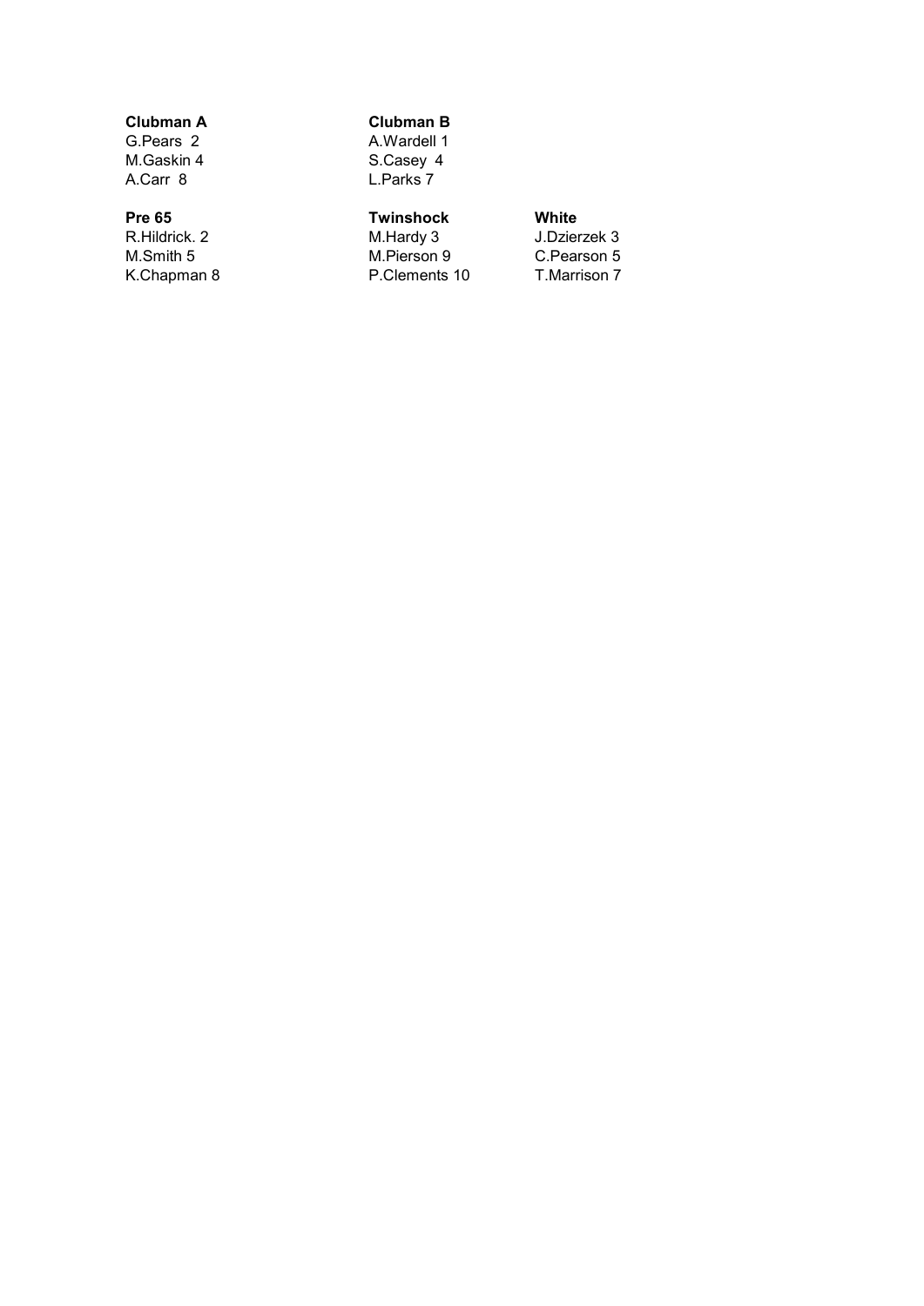# Clubman A Clubman B

G.Pears 2 A.Wardell 1<br>M.Gaskin 4 S.Casey 4 M.Gaskin 4 S.Casey 4<br>A.Carr 8 L.Parks 7 L.Parks 7

# Pre 65 **Twinshock** White<br>R.Hildrick. 2 **M.Hardy 3** J.Dzier

M.Smith 5 M.Pierson 9 C.Pearson 5<br>
K.Chapman 8 C.Pearson 7 P.Clements 10

R.Hildrick. 2 M.Hardy 3 J.Dzierzek 3<br>M.Smith 5 M.Pierson 9 C.Pearson 5